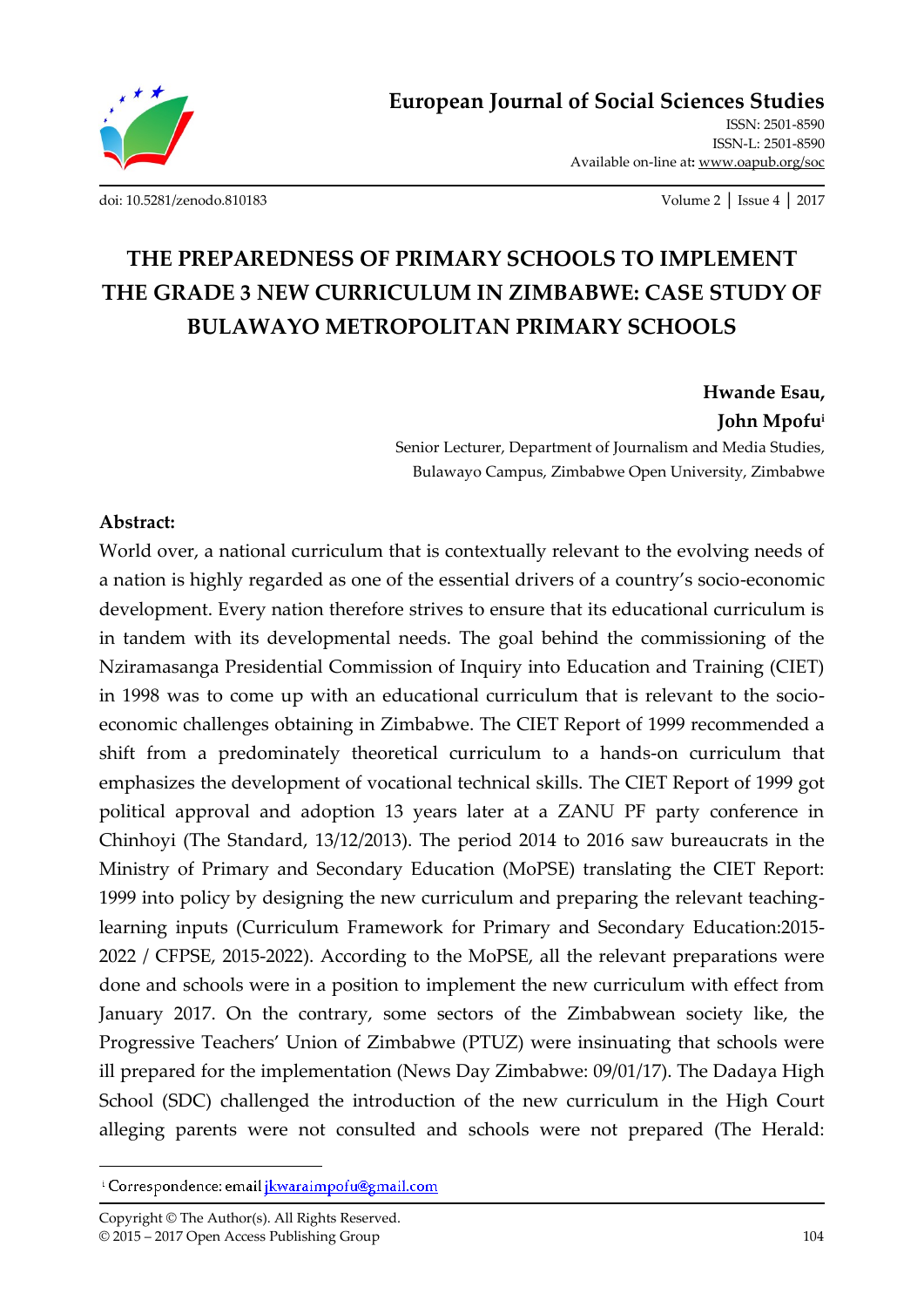

ISSN: 2501-8590 ISSN-L: 2501-8590 Available on-line at**:** www.oapub.org/soc

[doi: 10.5281/zenodo.810183](http://dx.doi.org/10.5281/zenodo.810183) Volume 2 │ Issue 4 │ 2017

# **THE PREPAREDNESS OF PRIMARY SCHOOLS TO IMPLEMENT THE GRADE 3 NEW CURRICULUM IN ZIMBABWE: CASE STUDY OF BULAWAYO METROPOLITAN PRIMARY SCHOOLS**

**Hwande Esau, John Mpofu<sup>i</sup>**

Senior Lecturer, Department of Journalism and Media Studies, Bulawayo Campus, Zimbabwe Open University, Zimbabwe

#### **Abstract:**

World over, a national curriculum that is contextually relevant to the evolving needs of a nation is highly regarded as one of the essential drivers of a country's socio-economic development. Every nation therefore strives to ensure that its educational curriculum is in tandem with its developmental needs. The goal behind the commissioning of the Nziramasanga Presidential Commission of Inquiry into Education and Training (CIET) in 1998 was to come up with an educational curriculum that is relevant to the socioeconomic challenges obtaining in Zimbabwe. The CIET Report of 1999 recommended a shift from a predominately theoretical curriculum to a hands-on curriculum that emphasizes the development of vocational technical skills. The CIET Report of 1999 got political approval and adoption 13 years later at a ZANU PF party conference in Chinhoyi (The Standard, 13/12/2013). The period 2014 to 2016 saw bureaucrats in the Ministry of Primary and Secondary Education (MoPSE) translating the CIET Report: 1999 into policy by designing the new curriculum and preparing the relevant teachinglearning inputs (Curriculum Framework for Primary and Secondary Education:2015- 2022 / CFPSE, 2015-2022). According to the MoPSE, all the relevant preparations were done and schools were in a position to implement the new curriculum with effect from January 2017. On the contrary, some sectors of the Zimbabwean society like, the Progressive Teachers' Union of Zimbabwe (PTUZ) were insinuating that schools were ill prepared for the implementation (News Day Zimbabwe: 09/01/17). The Dadaya High School (SDC) challenged the introduction of the new curriculum in the High Court alleging parents were not consulted and schools were not prepared (The Herald:

 $\overline{a}$ 

<sup>&</sup>lt;sup>i</sup> Correspondence: email *ikwaraimpofu@gmail.com*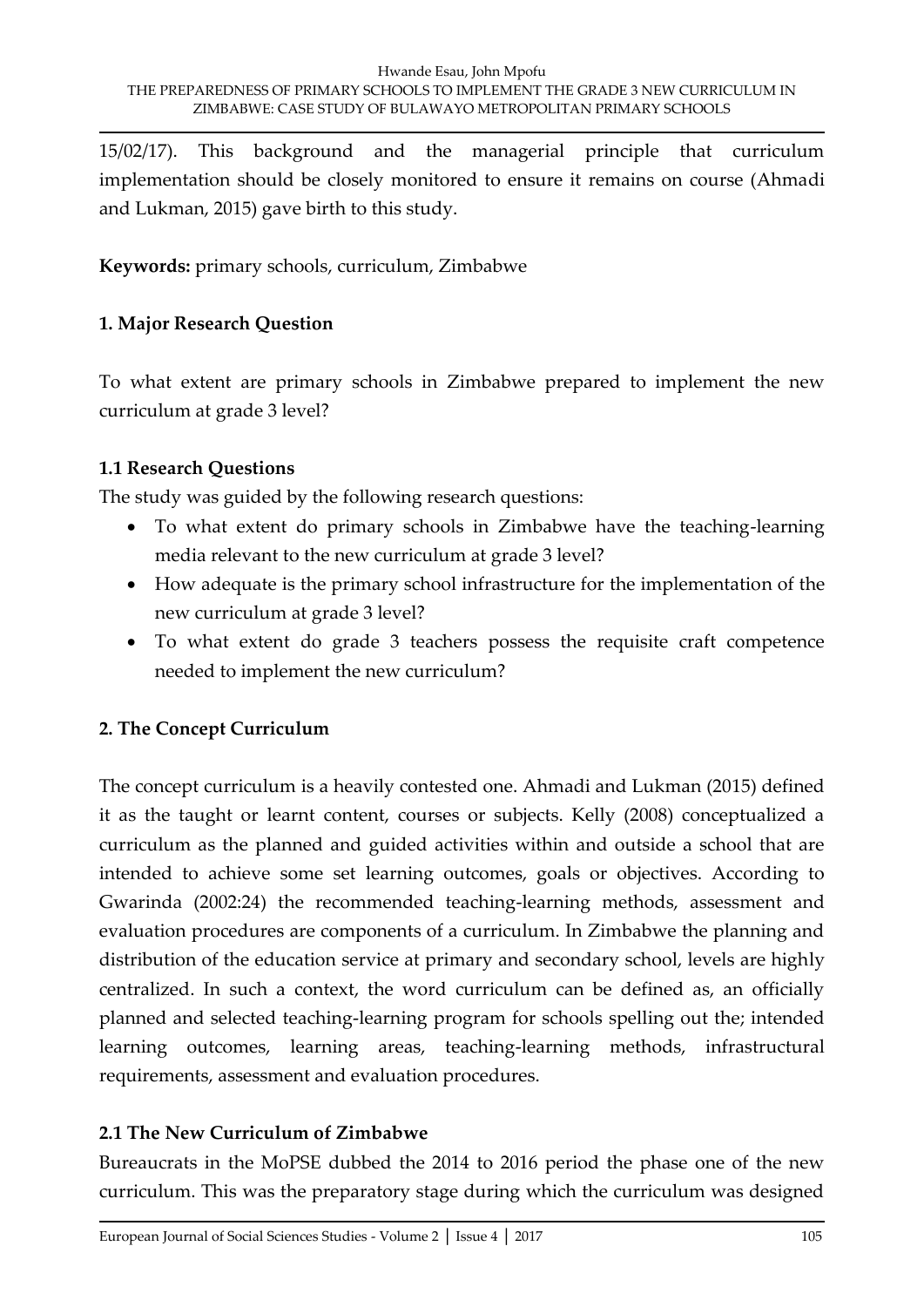15/02/17). This background and the managerial principle that curriculum implementation should be closely monitored to ensure it remains on course (Ahmadi and Lukman, 2015) gave birth to this study.

**Keywords:** primary schools, curriculum, Zimbabwe

#### **1. Major Research Question**

To what extent are primary schools in Zimbabwe prepared to implement the new curriculum at grade 3 level?

#### **1.1 Research Questions**

The study was guided by the following research questions:

- To what extent do primary schools in Zimbabwe have the teaching-learning media relevant to the new curriculum at grade 3 level?
- How adequate is the primary school infrastructure for the implementation of the new curriculum at grade 3 level?
- To what extent do grade 3 teachers possess the requisite craft competence needed to implement the new curriculum?

## **2. The Concept Curriculum**

The concept curriculum is a heavily contested one. Ahmadi and Lukman (2015) defined it as the taught or learnt content, courses or subjects. Kelly (2008) conceptualized a curriculum as the planned and guided activities within and outside a school that are intended to achieve some set learning outcomes, goals or objectives. According to Gwarinda (2002:24) the recommended teaching-learning methods, assessment and evaluation procedures are components of a curriculum. In Zimbabwe the planning and distribution of the education service at primary and secondary school, levels are highly centralized. In such a context, the word curriculum can be defined as, an officially planned and selected teaching-learning program for schools spelling out the; intended learning outcomes, learning areas, teaching-learning methods, infrastructural requirements, assessment and evaluation procedures.

## **2.1 The New Curriculum of Zimbabwe**

Bureaucrats in the MoPSE dubbed the 2014 to 2016 period the phase one of the new curriculum. This was the preparatory stage during which the curriculum was designed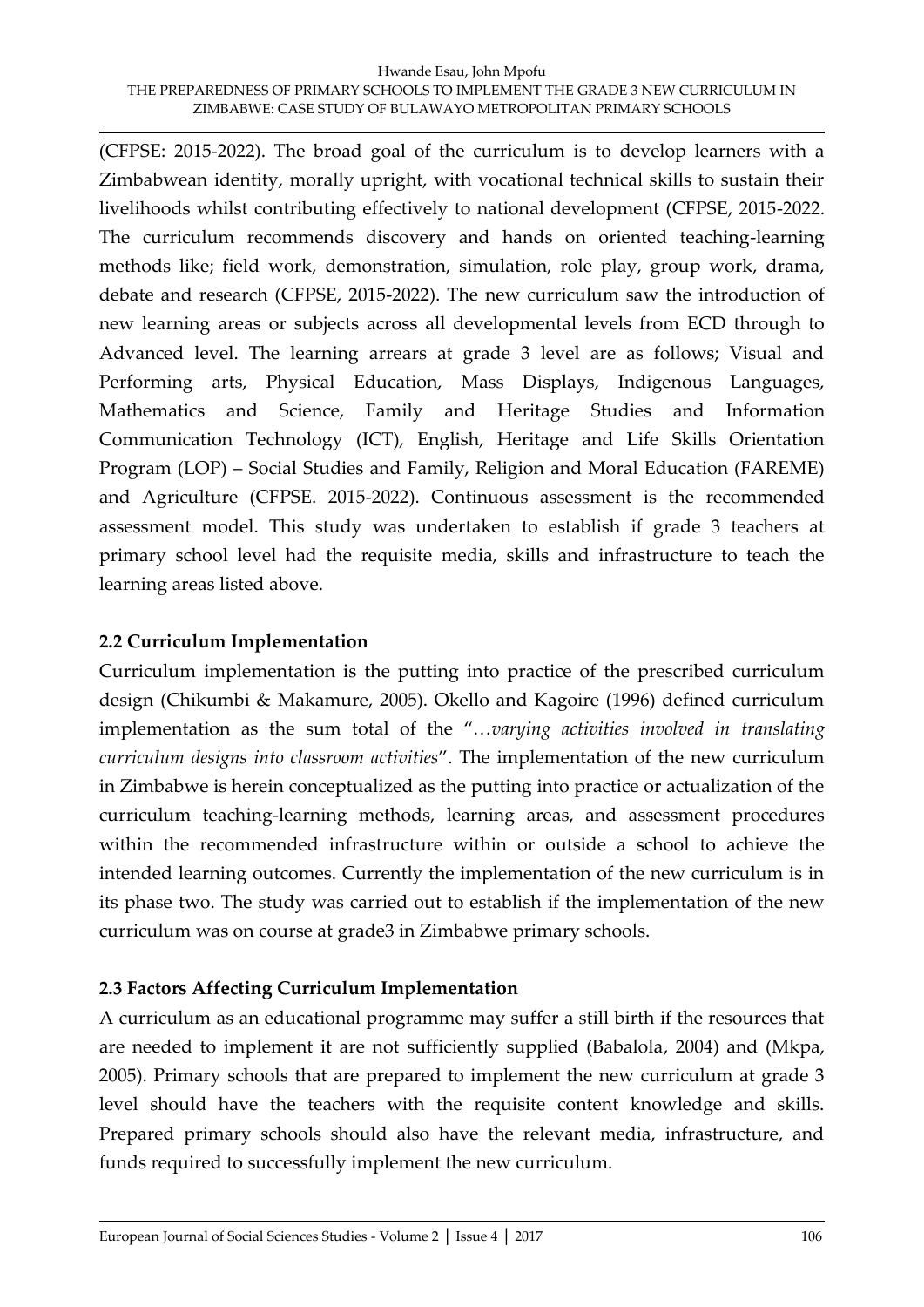(CFPSE: 2015-2022). The broad goal of the curriculum is to develop learners with a Zimbabwean identity, morally upright, with vocational technical skills to sustain their livelihoods whilst contributing effectively to national development (CFPSE, 2015-2022. The curriculum recommends discovery and hands on oriented teaching-learning methods like; field work, demonstration, simulation, role play, group work, drama, debate and research (CFPSE, 2015-2022). The new curriculum saw the introduction of new learning areas or subjects across all developmental levels from ECD through to Advanced level. The learning arrears at grade 3 level are as follows; Visual and Performing arts, Physical Education, Mass Displays, Indigenous Languages, Mathematics and Science, Family and Heritage Studies and Information Communication Technology (ICT), English, Heritage and Life Skills Orientation Program (LOP) – Social Studies and Family, Religion and Moral Education (FAREME) and Agriculture (CFPSE. 2015-2022). Continuous assessment is the recommended assessment model. This study was undertaken to establish if grade 3 teachers at primary school level had the requisite media, skills and infrastructure to teach the learning areas listed above.

#### **2.2 Curriculum Implementation**

Curriculum implementation is the putting into practice of the prescribed curriculum design (Chikumbi & Makamure, 2005). Okello and Kagoire (1996) defined curriculum implementation as the sum total of the "*…varying activities involved in translating curriculum designs into classroom activities*". The implementation of the new curriculum in Zimbabwe is herein conceptualized as the putting into practice or actualization of the curriculum teaching-learning methods, learning areas, and assessment procedures within the recommended infrastructure within or outside a school to achieve the intended learning outcomes. Currently the implementation of the new curriculum is in its phase two. The study was carried out to establish if the implementation of the new curriculum was on course at grade3 in Zimbabwe primary schools.

#### **2.3 Factors Affecting Curriculum Implementation**

A curriculum as an educational programme may suffer a still birth if the resources that are needed to implement it are not sufficiently supplied (Babalola, 2004) and (Mkpa, 2005). Primary schools that are prepared to implement the new curriculum at grade 3 level should have the teachers with the requisite content knowledge and skills. Prepared primary schools should also have the relevant media, infrastructure, and funds required to successfully implement the new curriculum.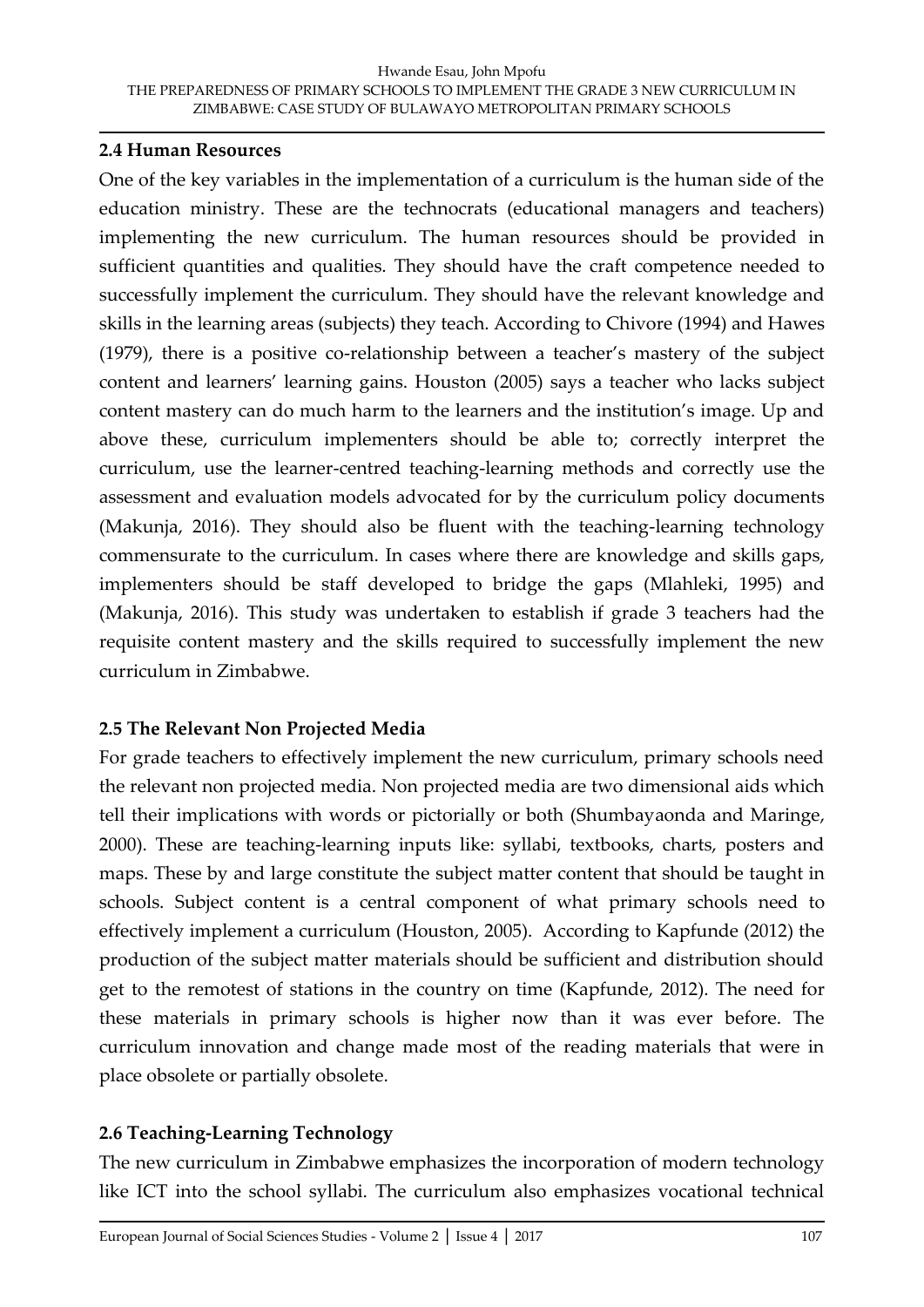#### **2.4 Human Resources**

One of the key variables in the implementation of a curriculum is the human side of the education ministry. These are the technocrats (educational managers and teachers) implementing the new curriculum. The human resources should be provided in sufficient quantities and qualities. They should have the craft competence needed to successfully implement the curriculum. They should have the relevant knowledge and skills in the learning areas (subjects) they teach. According to Chivore (1994) and Hawes (1979), there is a positive co-relationship between a teacher's mastery of the subject content and learners' learning gains. Houston (2005) says a teacher who lacks subject content mastery can do much harm to the learners and the institution's image. Up and above these, curriculum implementers should be able to; correctly interpret the curriculum, use the learner-centred teaching-learning methods and correctly use the assessment and evaluation models advocated for by the curriculum policy documents (Makunja, 2016). They should also be fluent with the teaching-learning technology commensurate to the curriculum. In cases where there are knowledge and skills gaps, implementers should be staff developed to bridge the gaps (Mlahleki, 1995) and (Makunja, 2016). This study was undertaken to establish if grade 3 teachers had the requisite content mastery and the skills required to successfully implement the new curriculum in Zimbabwe.

## **2.5 The Relevant Non Projected Media**

For grade teachers to effectively implement the new curriculum, primary schools need the relevant non projected media. Non projected media are two dimensional aids which tell their implications with words or pictorially or both (Shumbayaonda and Maringe, 2000). These are teaching-learning inputs like: syllabi, textbooks, charts, posters and maps. These by and large constitute the subject matter content that should be taught in schools. Subject content is a central component of what primary schools need to effectively implement a curriculum (Houston, 2005). According to Kapfunde (2012) the production of the subject matter materials should be sufficient and distribution should get to the remotest of stations in the country on time (Kapfunde, 2012). The need for these materials in primary schools is higher now than it was ever before. The curriculum innovation and change made most of the reading materials that were in place obsolete or partially obsolete.

## **2.6 Teaching-Learning Technology**

The new curriculum in Zimbabwe emphasizes the incorporation of modern technology like ICT into the school syllabi. The curriculum also emphasizes vocational technical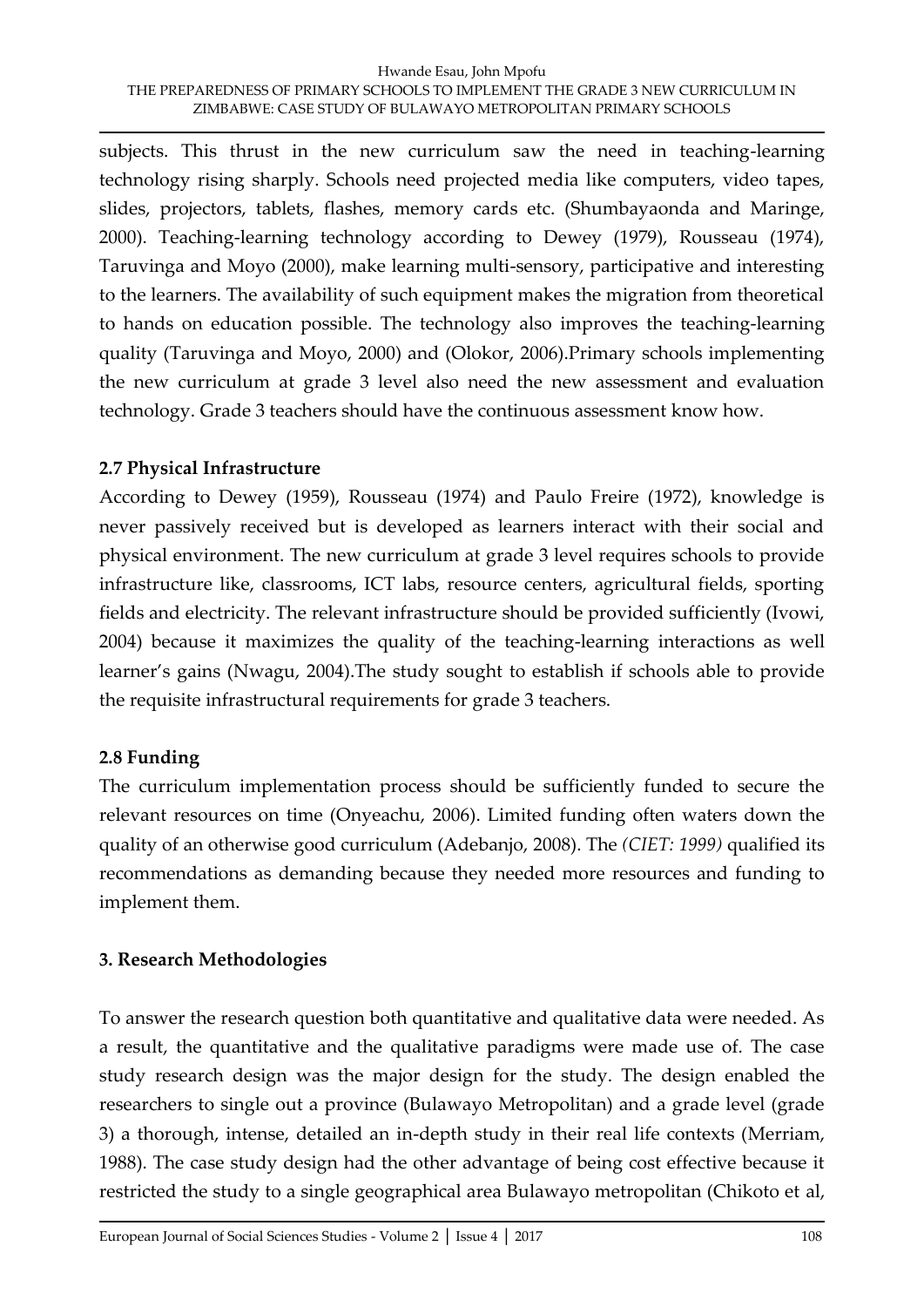subjects. This thrust in the new curriculum saw the need in teaching-learning technology rising sharply. Schools need projected media like computers, video tapes, slides, projectors, tablets, flashes, memory cards etc. (Shumbayaonda and Maringe, 2000). Teaching-learning technology according to Dewey (1979), Rousseau (1974), Taruvinga and Moyo (2000), make learning multi-sensory, participative and interesting to the learners. The availability of such equipment makes the migration from theoretical to hands on education possible. The technology also improves the teaching-learning quality (Taruvinga and Moyo, 2000) and (Olokor, 2006).Primary schools implementing the new curriculum at grade 3 level also need the new assessment and evaluation technology. Grade 3 teachers should have the continuous assessment know how.

#### **2.7 Physical Infrastructure**

According to Dewey (1959), Rousseau (1974) and Paulo Freire (1972), knowledge is never passively received but is developed as learners interact with their social and physical environment. The new curriculum at grade 3 level requires schools to provide infrastructure like, classrooms, ICT labs, resource centers, agricultural fields, sporting fields and electricity. The relevant infrastructure should be provided sufficiently (Ivowi, 2004) because it maximizes the quality of the teaching-learning interactions as well learner's gains (Nwagu, 2004).The study sought to establish if schools able to provide the requisite infrastructural requirements for grade 3 teachers.

## **2.8 Funding**

The curriculum implementation process should be sufficiently funded to secure the relevant resources on time (Onyeachu, 2006). Limited funding often waters down the quality of an otherwise good curriculum (Adebanjo, 2008). The *(CIET: 1999)* qualified its recommendations as demanding because they needed more resources and funding to implement them.

## **3. Research Methodologies**

To answer the research question both quantitative and qualitative data were needed. As a result, the quantitative and the qualitative paradigms were made use of. The case study research design was the major design for the study. The design enabled the researchers to single out a province (Bulawayo Metropolitan) and a grade level (grade 3) a thorough, intense, detailed an in-depth study in their real life contexts (Merriam, 1988). The case study design had the other advantage of being cost effective because it restricted the study to a single geographical area Bulawayo metropolitan (Chikoto et al,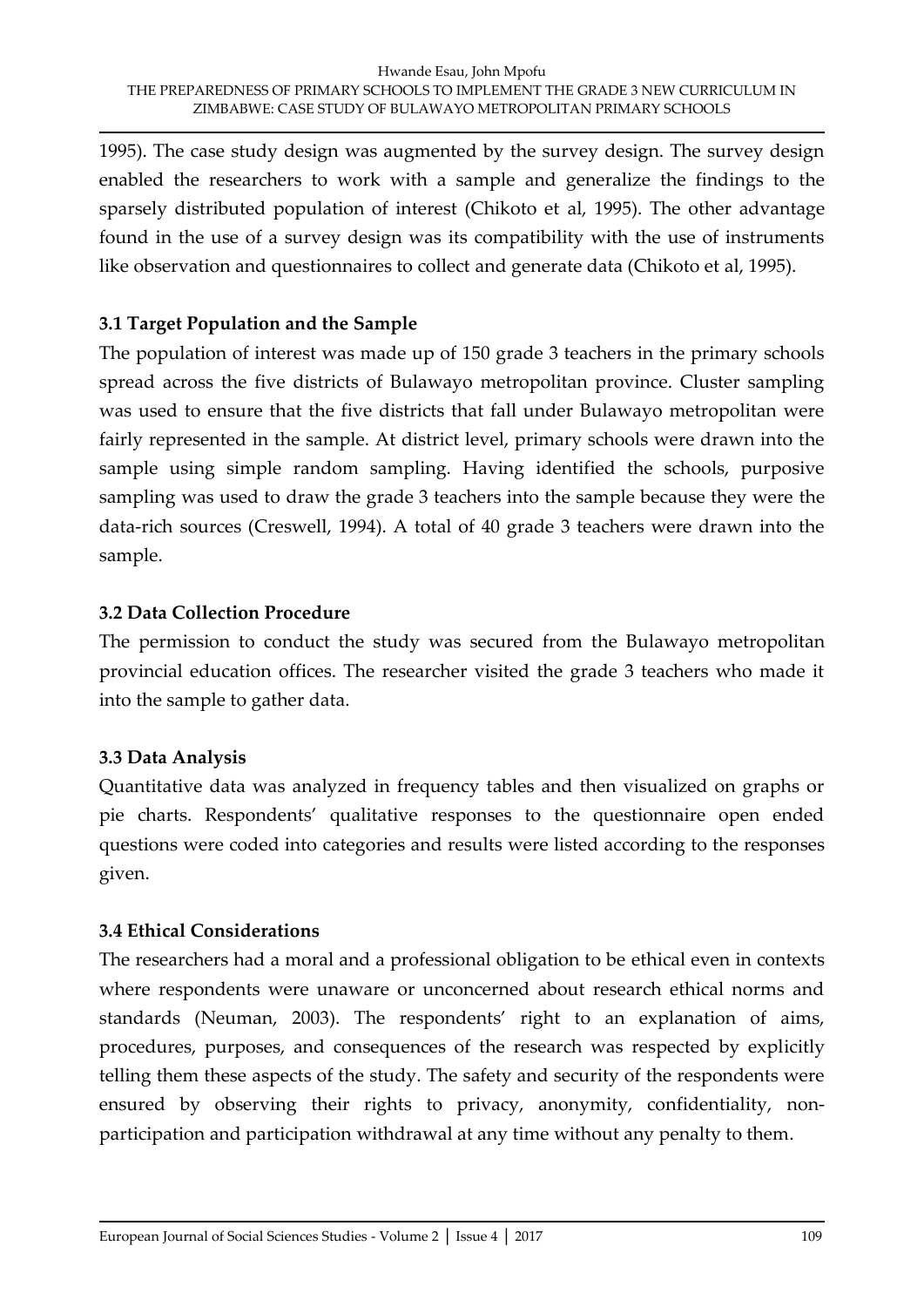1995). The case study design was augmented by the survey design. The survey design enabled the researchers to work with a sample and generalize the findings to the sparsely distributed population of interest (Chikoto et al, 1995). The other advantage found in the use of a survey design was its compatibility with the use of instruments like observation and questionnaires to collect and generate data (Chikoto et al, 1995).

#### **3.1 Target Population and the Sample**

The population of interest was made up of 150 grade 3 teachers in the primary schools spread across the five districts of Bulawayo metropolitan province. Cluster sampling was used to ensure that the five districts that fall under Bulawayo metropolitan were fairly represented in the sample. At district level, primary schools were drawn into the sample using simple random sampling. Having identified the schools, purposive sampling was used to draw the grade 3 teachers into the sample because they were the data-rich sources (Creswell, 1994). A total of 40 grade 3 teachers were drawn into the sample.

#### **3.2 Data Collection Procedure**

The permission to conduct the study was secured from the Bulawayo metropolitan provincial education offices. The researcher visited the grade 3 teachers who made it into the sample to gather data.

## **3.3 Data Analysis**

Quantitative data was analyzed in frequency tables and then visualized on graphs or pie charts. Respondents' qualitative responses to the questionnaire open ended questions were coded into categories and results were listed according to the responses given.

#### **3.4 Ethical Considerations**

The researchers had a moral and a professional obligation to be ethical even in contexts where respondents were unaware or unconcerned about research ethical norms and standards (Neuman, 2003). The respondents' right to an explanation of aims, procedures, purposes, and consequences of the research was respected by explicitly telling them these aspects of the study. The safety and security of the respondents were ensured by observing their rights to privacy, anonymity, confidentiality, nonparticipation and participation withdrawal at any time without any penalty to them.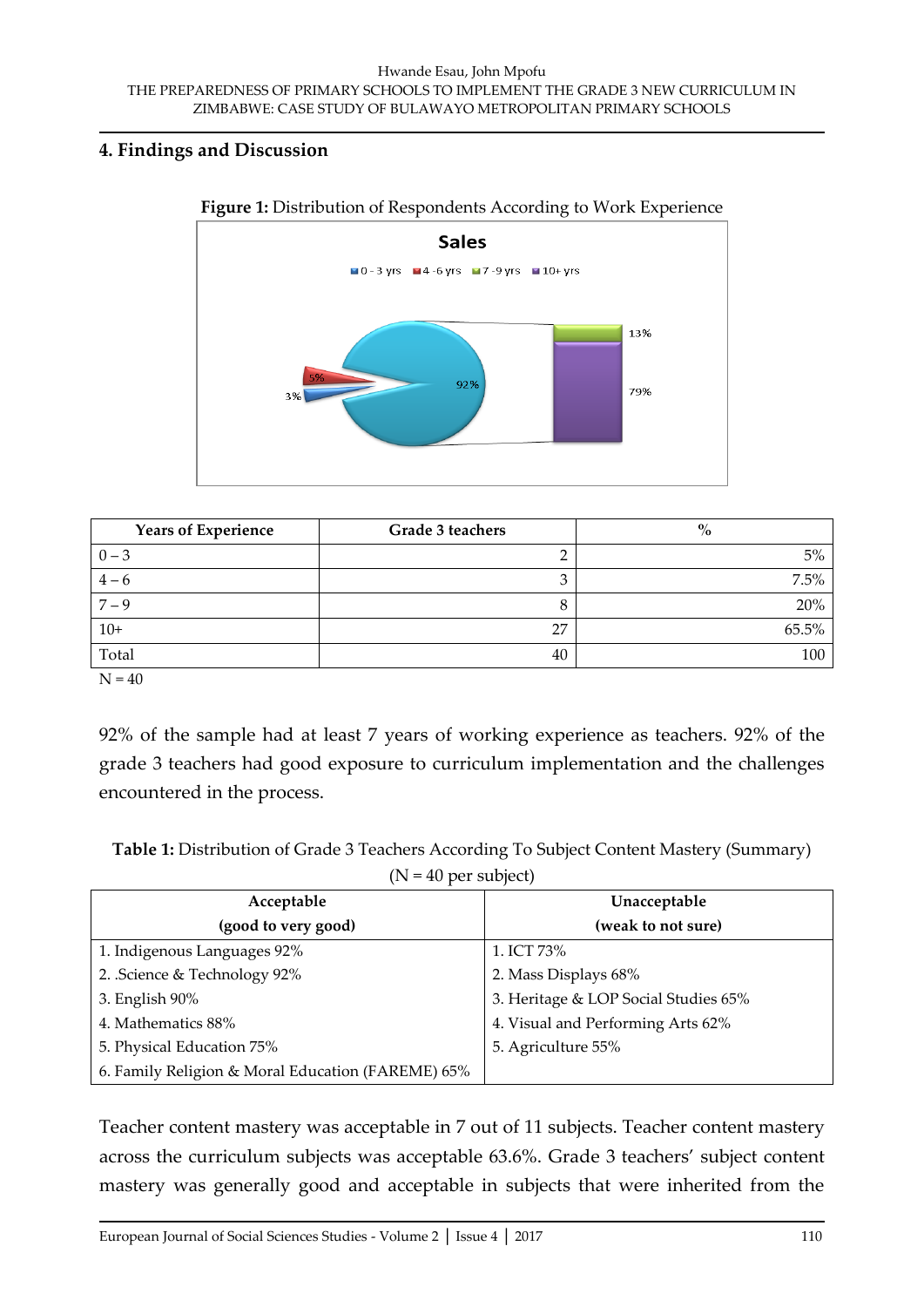#### **4. Findings and Discussion**



#### **Figure 1:** Distribution of Respondents According to Work Experience

| <b>Years of Experience</b> | Grade 3 teachers | $\%$  |
|----------------------------|------------------|-------|
| $0 - 3$                    |                  | 5%    |
| $4 - 6$                    |                  | 7.5%  |
| $7 - 9$                    |                  | 20%   |
| $10+$                      | דר               | 65.5% |
| Total                      | 40               | 100   |

 $N = 40$ 

92% of the sample had at least 7 years of working experience as teachers. 92% of the grade 3 teachers had good exposure to curriculum implementation and the challenges encountered in the process.

**Table 1:** Distribution of Grade 3 Teachers According To Subject Content Mastery (Summary)

| $(N = 40$ per subject) |  |  |  |  |  |
|------------------------|--|--|--|--|--|
|------------------------|--|--|--|--|--|

| Acceptable                                        | Unacceptable                         |  |
|---------------------------------------------------|--------------------------------------|--|
| (good to very good)                               | (weak to not sure)                   |  |
| 1. Indigenous Languages 92%                       | 1. ICT 73%                           |  |
| 2. Science & Technology 92%                       | 2. Mass Displays 68%                 |  |
| 3. English 90%                                    | 3. Heritage & LOP Social Studies 65% |  |
| 4. Mathematics 88%                                | 4. Visual and Performing Arts 62%    |  |
| 5. Physical Education 75%                         | 5. Agriculture 55%                   |  |
| 6. Family Religion & Moral Education (FAREME) 65% |                                      |  |

Teacher content mastery was acceptable in 7 out of 11 subjects. Teacher content mastery across the curriculum subjects was acceptable 63.6%. Grade 3 teachers' subject content mastery was generally good and acceptable in subjects that were inherited from the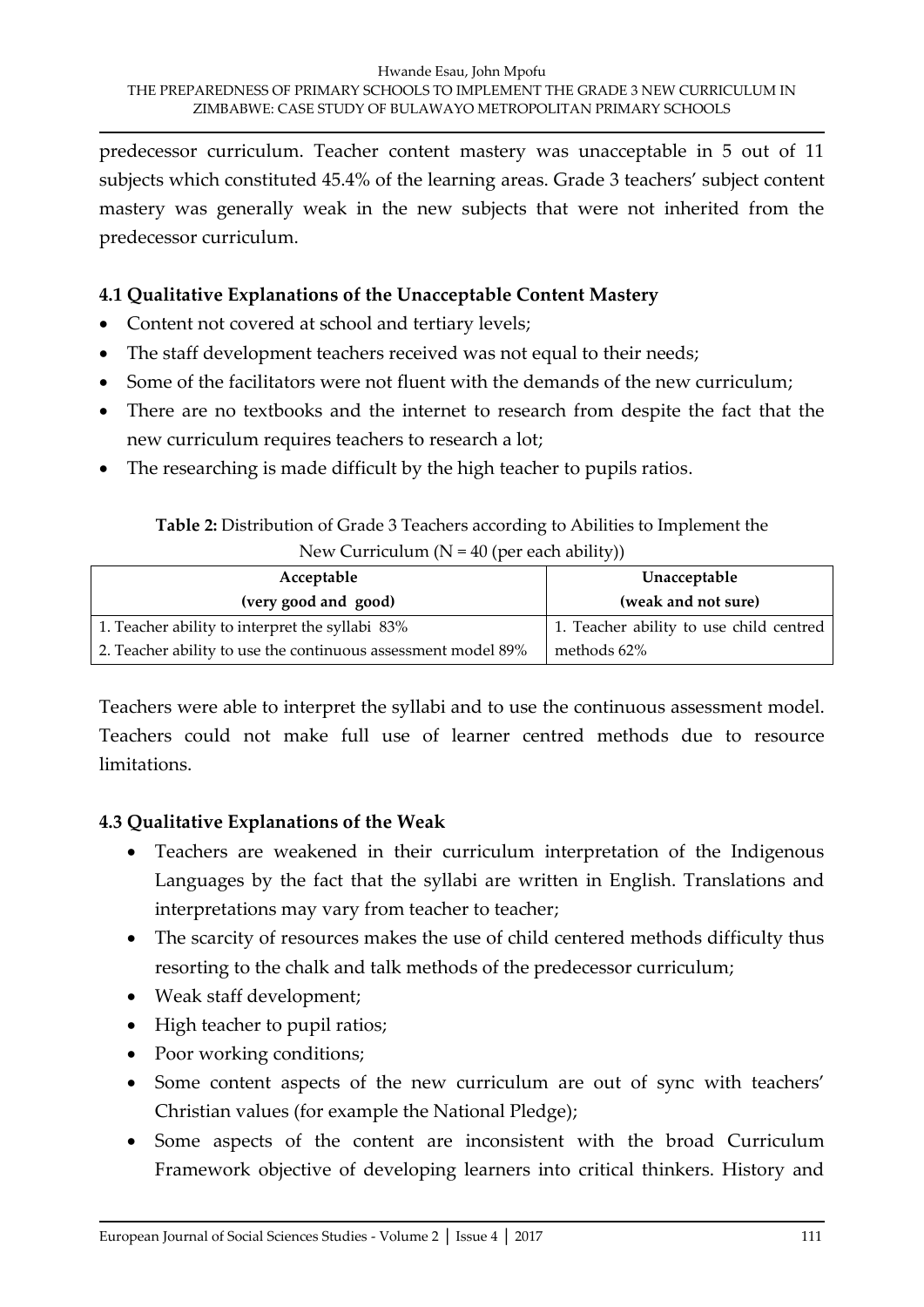predecessor curriculum. Teacher content mastery was unacceptable in 5 out of 11 subjects which constituted 45.4% of the learning areas. Grade 3 teachers' subject content mastery was generally weak in the new subjects that were not inherited from the predecessor curriculum.

#### **4.1 Qualitative Explanations of the Unacceptable Content Mastery**

- Content not covered at school and tertiary levels;
- The staff development teachers received was not equal to their needs;
- Some of the facilitators were not fluent with the demands of the new curriculum;
- There are no textbooks and the internet to research from despite the fact that the new curriculum requires teachers to research a lot;
- The researching is made difficult by the high teacher to pupils ratios.

**Table 2:** Distribution of Grade 3 Teachers according to Abilities to Implement the New Curriculum  $(N = 40$  (per each ability))

| Acceptable                                                    | Unacceptable                            |
|---------------------------------------------------------------|-----------------------------------------|
| (very good and good)                                          | (weak and not sure)                     |
| 1. Teacher ability to interpret the syllabi 83%               | 1. Teacher ability to use child centred |
| 2. Teacher ability to use the continuous assessment model 89% | methods 62%                             |

Teachers were able to interpret the syllabi and to use the continuous assessment model. Teachers could not make full use of learner centred methods due to resource limitations.

## **4.3 Qualitative Explanations of the Weak**

- Teachers are weakened in their curriculum interpretation of the Indigenous Languages by the fact that the syllabi are written in English. Translations and interpretations may vary from teacher to teacher;
- The scarcity of resources makes the use of child centered methods difficulty thus resorting to the chalk and talk methods of the predecessor curriculum;
- Weak staff development;
- High teacher to pupil ratios;
- Poor working conditions;
- Some content aspects of the new curriculum are out of sync with teachers' Christian values (for example the National Pledge);
- Some aspects of the content are inconsistent with the broad Curriculum Framework objective of developing learners into critical thinkers. History and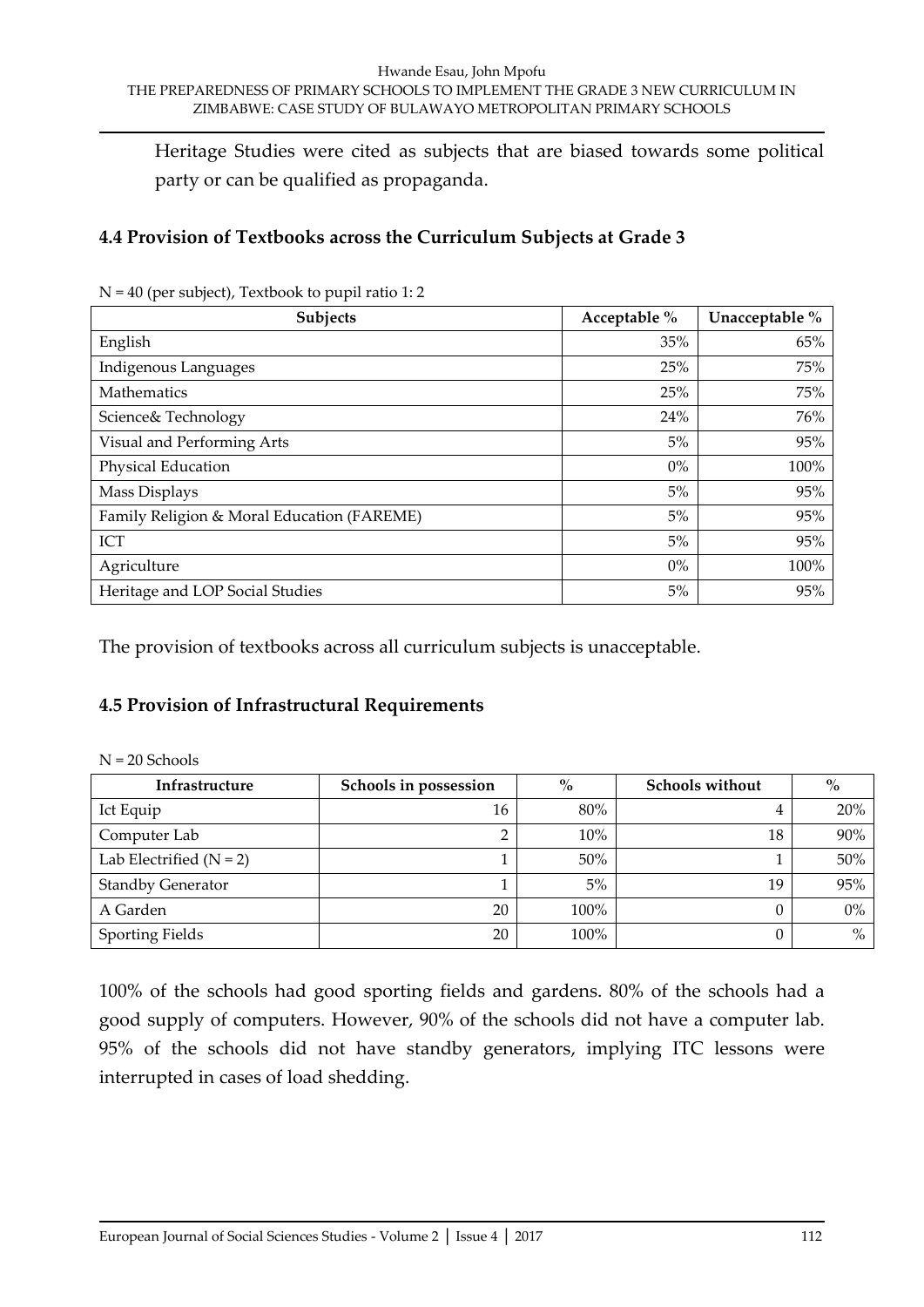Heritage Studies were cited as subjects that are biased towards some political party or can be qualified as propaganda.

#### **4.4 Provision of Textbooks across the Curriculum Subjects at Grade 3**

| Subjects                                   | Acceptable % | Unacceptable % |
|--------------------------------------------|--------------|----------------|
| English                                    | 35%          | 65%            |
| Indigenous Languages                       | 25%          | 75%            |
| Mathematics                                | 25%          | 75%            |
| Science& Technology                        | 24%          | 76%            |
| Visual and Performing Arts                 | 5%           | 95%            |
| Physical Education                         | $0\%$        | 100%           |
| Mass Displays                              | 5%           | 95%            |
| Family Religion & Moral Education (FAREME) | 5%           | 95%            |
| <b>ICT</b>                                 | 5%           | 95%            |
| Agriculture                                | $0\%$        | 100%           |
| Heritage and LOP Social Studies            | 5%           | 95%            |

N = 40 (per subject), Textbook to pupil ratio 1: 2

The provision of textbooks across all curriculum subjects is unacceptable.

#### **4.5 Provision of Infrastructural Requirements**

| Infrastructure            | Schools in possession | $\%$   | <b>Schools without</b> | $\%$  |
|---------------------------|-----------------------|--------|------------------------|-------|
| Ict Equip                 | 16                    | 80%    | 4                      | 20%   |
| Computer Lab              |                       | 10%    | 18                     | 90%   |
| Lab Electrified $(N = 2)$ |                       | $50\%$ |                        | 50%   |
| <b>Standby Generator</b>  |                       | $5\%$  | 19                     | 95%   |
| A Garden                  | 20                    | 100%   | 0                      | $0\%$ |
| <b>Sporting Fields</b>    | 20                    | 100%   | 0                      | $\%$  |

100% of the schools had good sporting fields and gardens. 80% of the schools had a good supply of computers. However, 90% of the schools did not have a computer lab. 95% of the schools did not have standby generators, implying ITC lessons were interrupted in cases of load shedding.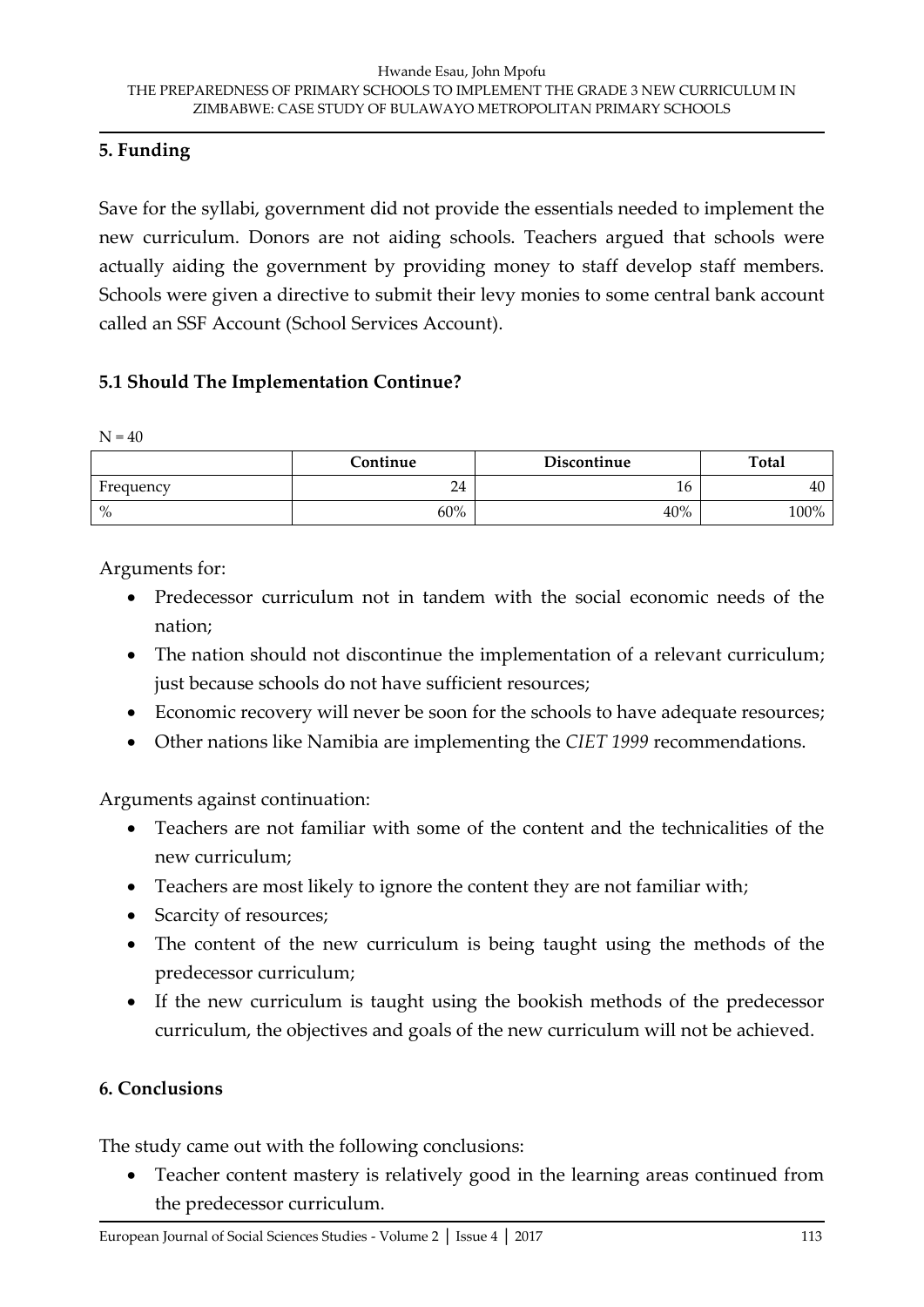#### **5. Funding**

Save for the syllabi, government did not provide the essentials needed to implement the new curriculum. Donors are not aiding schools. Teachers argued that schools were actually aiding the government by providing money to staff develop staff members. Schools were given a directive to submit their levy monies to some central bank account called an SSF Account (School Services Account).

#### **5.1 Should The Implementation Continue?**

 $N = 40$ 

|           | C <b>ontinue</b> | Discontinue | Total |
|-----------|------------------|-------------|-------|
| Frequency | 24               | 16          | 40    |
| $\%$      | 60%              | 40%         | 100%  |

Arguments for:

- Predecessor curriculum not in tandem with the social economic needs of the nation;
- The nation should not discontinue the implementation of a relevant curriculum; just because schools do not have sufficient resources;
- Economic recovery will never be soon for the schools to have adequate resources;
- Other nations like Namibia are implementing the *CIET 1999* recommendations.

Arguments against continuation:

- Teachers are not familiar with some of the content and the technicalities of the new curriculum;
- Teachers are most likely to ignore the content they are not familiar with;
- Scarcity of resources;
- The content of the new curriculum is being taught using the methods of the predecessor curriculum;
- If the new curriculum is taught using the bookish methods of the predecessor curriculum, the objectives and goals of the new curriculum will not be achieved.

## **6. Conclusions**

The study came out with the following conclusions:

 Teacher content mastery is relatively good in the learning areas continued from the predecessor curriculum.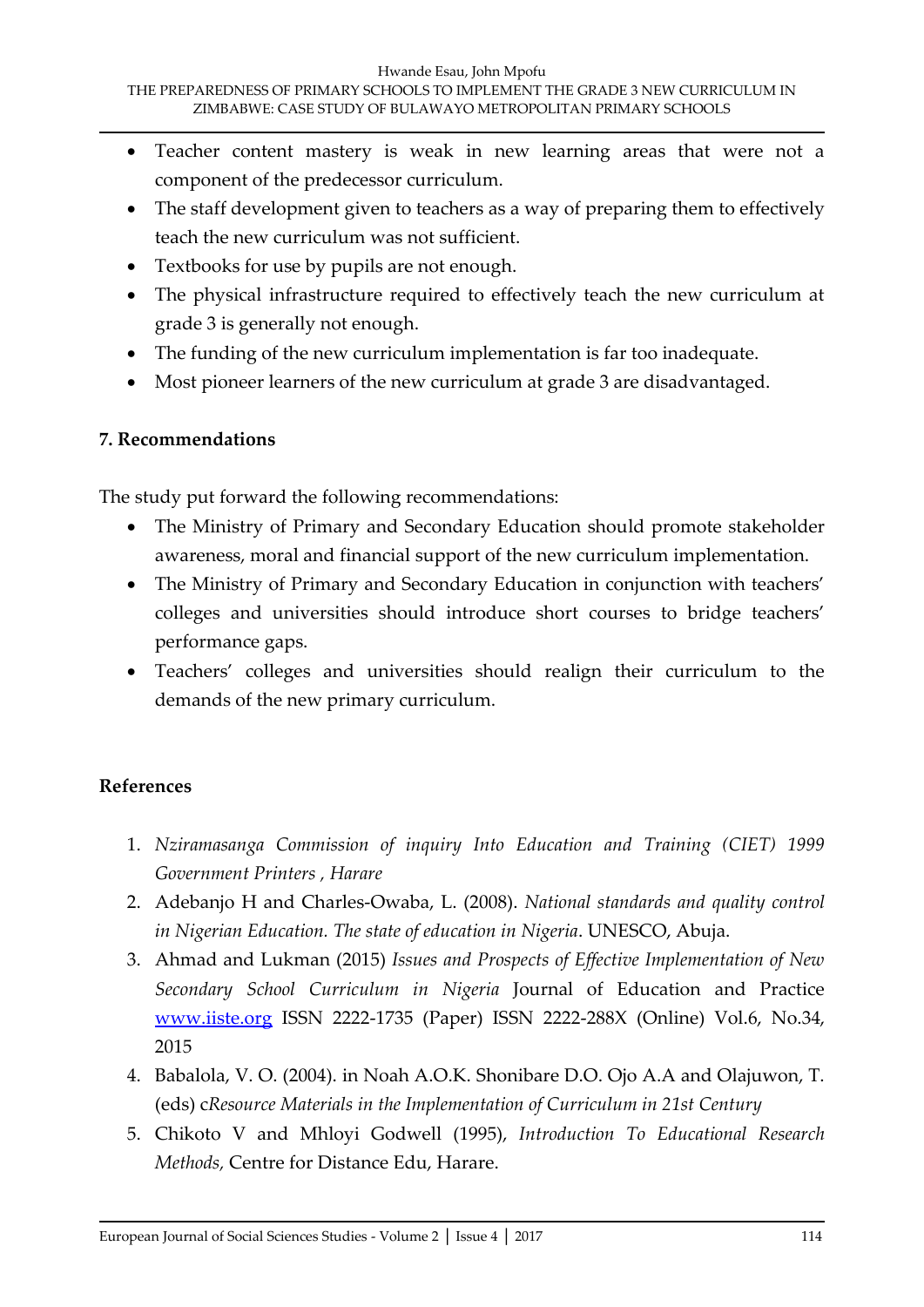- Teacher content mastery is weak in new learning areas that were not a component of the predecessor curriculum.
- The staff development given to teachers as a way of preparing them to effectively teach the new curriculum was not sufficient.
- Textbooks for use by pupils are not enough.
- The physical infrastructure required to effectively teach the new curriculum at grade 3 is generally not enough.
- The funding of the new curriculum implementation is far too inadequate.
- Most pioneer learners of the new curriculum at grade 3 are disadvantaged.

## **7. Recommendations**

The study put forward the following recommendations:

- The Ministry of Primary and Secondary Education should promote stakeholder awareness, moral and financial support of the new curriculum implementation.
- The Ministry of Primary and Secondary Education in conjunction with teachers' colleges and universities should introduce short courses to bridge teachers' performance gaps.
- Teachers' colleges and universities should realign their curriculum to the demands of the new primary curriculum.

# **References**

- 1. *Nziramasanga Commission of inquiry Into Education and Training (CIET) 1999 Government Printers , Harare*
- 2. Adebanjo H and Charles-Owaba, L. (2008). *National standards and quality control in Nigerian Education. The state of education in Nigeria*. UNESCO, Abuja.
- 3. Ahmad and Lukman (2015) *Issues and Prospects of Effective Implementation of New Secondary School Curriculum in Nigeria* Journal of Education and Practice [www.iiste.org](http://www.iiste.org/) ISSN 2222-1735 (Paper) ISSN 2222-288X (Online) Vol.6, No.34, 2015
- 4. Babalola, V. O. (2004). in Noah A.O.K. Shonibare D.O. Ojo A.A and Olajuwon, T. (eds) c*Resource Materials in the Implementation of Curriculum in 21st Century*
- 5. Chikoto V and Mhloyi Godwell (1995), *Introduction To Educational Research Methods,* Centre for Distance Edu, Harare.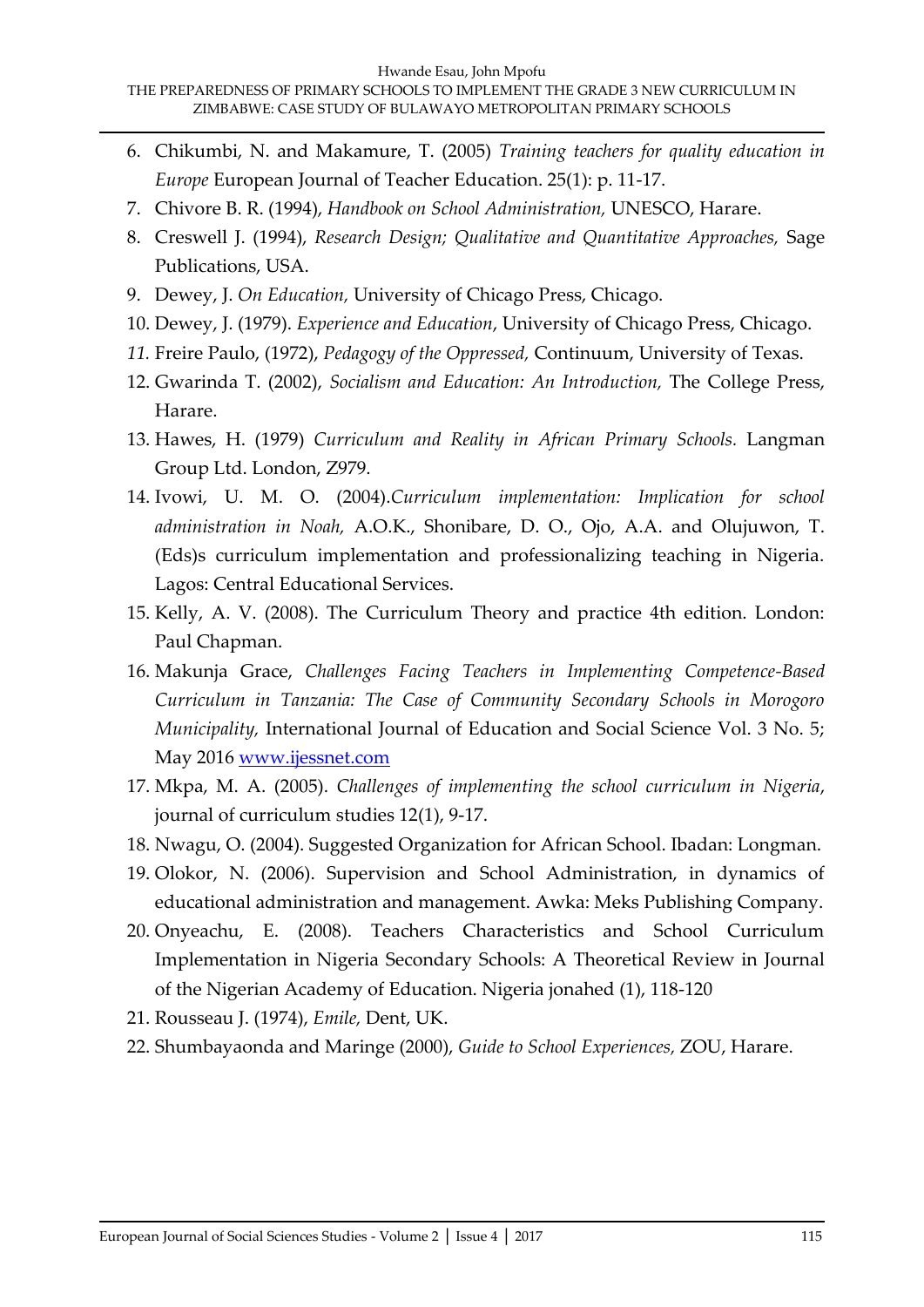- 6. Chikumbi, N. and Makamure, T. (2005) *Training teachers for quality education in Europe* European Journal of Teacher Education. 25(1): p. 11-17.
- 7. Chivore B. R. (1994), *Handbook on School Administration,* UNESCO, Harare.
- 8. Creswell J. (1994), *Research Design; Qualitative and Quantitative Approaches,* Sage Publications, USA.
- 9. Dewey, J. *On Education,* University of Chicago Press, Chicago.
- 10. Dewey, J. (1979). *Experience and Education*, University of Chicago Press, Chicago.
- *11.* Freire Paulo, (1972), *Pedagogy of the Oppressed,* Continuum, University of Texas.
- 12. Gwarinda T. (2002), *Socialism and Education: An Introduction,* The College Press, Harare.
- 13. Hawes, H. (1979) *Curriculum and Reality in African Primary Schools.* Langman Group Ltd. London, Z979.
- 14. Ivowi, U. M. O. (2004).*Curriculum implementation: Implication for school administration in Noah,* A.O.K., Shonibare, D. O., Ojo, A.A. and Olujuwon, T. (Eds)s curriculum implementation and professionalizing teaching in Nigeria. Lagos: Central Educational Services.
- 15. Kelly, A. V. (2008). The Curriculum Theory and practice 4th edition. London: Paul Chapman.
- 16. Makunja Grace, *Challenges Facing Teachers in Implementing Competence-Based Curriculum in Tanzania: The Case of Community Secondary Schools in Morogoro Municipality,* International Journal of Education and Social Science Vol. 3 No. 5; May 2016 [www.ijessnet.com](http://www.ijessnet.com/)
- 17. Mkpa, M. A. (2005). *Challenges of implementing the school curriculum in Nigeria*, journal of curriculum studies 12(1), 9-17.
- 18. Nwagu, O. (2004). Suggested Organization for African School. Ibadan: Longman.
- 19. Olokor, N. (2006). Supervision and School Administration, in dynamics of educational administration and management. Awka: Meks Publishing Company.
- 20. Onyeachu, E. (2008). Teachers Characteristics and School Curriculum Implementation in Nigeria Secondary Schools: A Theoretical Review in Journal of the Nigerian Academy of Education. Nigeria jonahed (1), 118-120
- 21. Rousseau J. (1974), *Emile,* Dent, UK.
- 22. Shumbayaonda and Maringe (2000), *Guide to School Experiences,* ZOU, Harare.